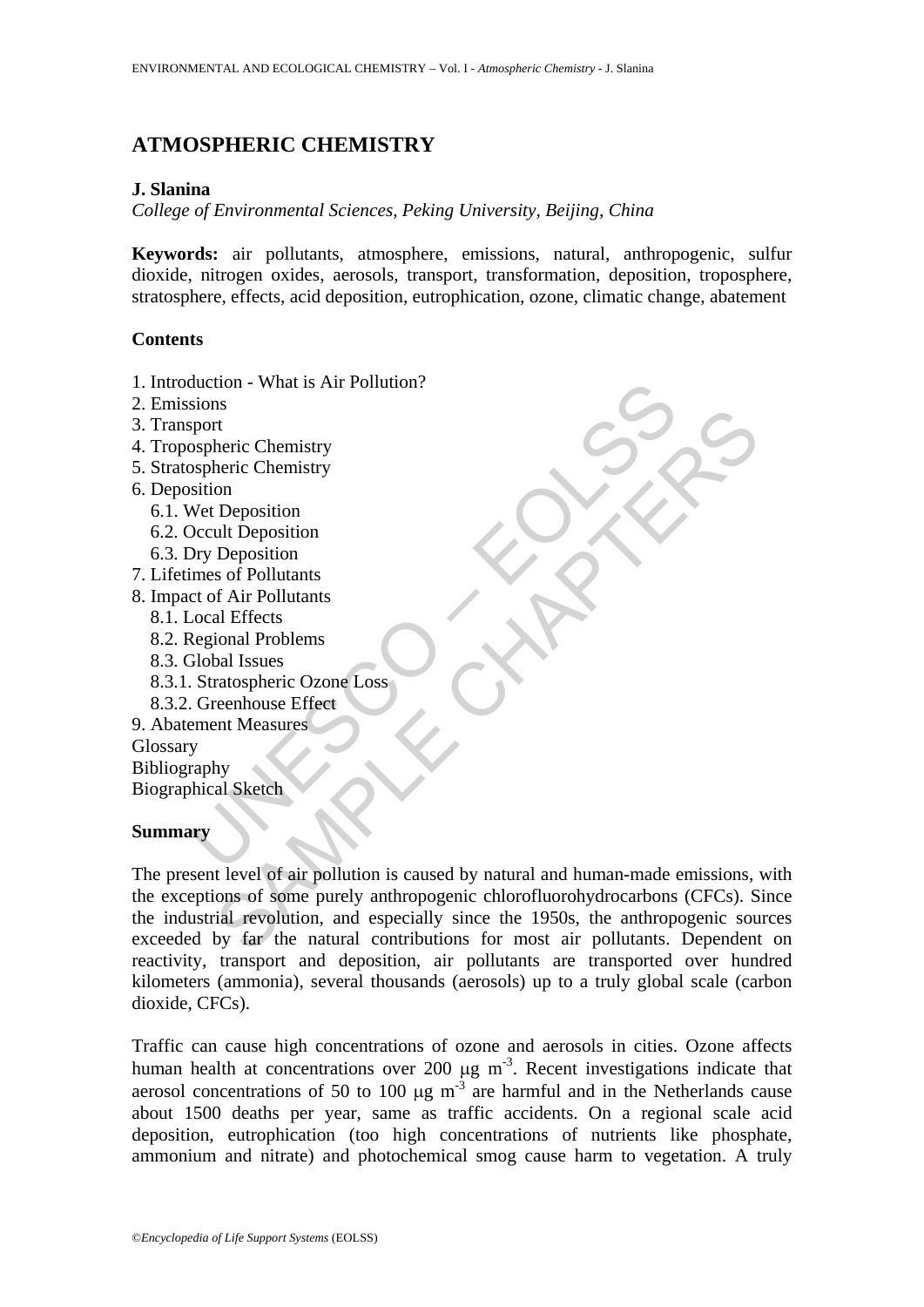# **ATMOSPHERIC CHEMISTRY**

### **J. Slanina**

*College of Environmental Sciences, Peking University, Beijing, China* 

**Keywords:** air pollutants, atmosphere, emissions, natural, anthropogenic, sulfur dioxide, nitrogen oxides, aerosols, transport, transformation, deposition, troposphere, stratosphere, effects, acid deposition, eutrophication, ozone, climatic change, abatement

### **Contents**

- 1. Introduction What is Air Pollution?
- 2. Emissions
- 3. Transport
- 4. Tropospheric Chemistry
- 5. Stratospheric Chemistry
- 6. Deposition
	- 6.1. Wet Deposition
	- 6.2. Occult Deposition
	- 6.3. Dry Deposition
- 7. Lifetimes of Pollutants
- 8. Impact of Air Pollutants
	- 8.1. Local Effects
	- 8.2. Regional Problems
	- 8.3. Global Issues
- Strom Control Control Control Control Control Control Control Control Control Control Control Control Control Control Control Control Control Control Control Control Control Control Control Control Control Control Control 8.3.1. Stratospheric Ozone Loss
	- 8.3.2. Greenhouse Effect
- 9. Abatement Measures Glossary

Bibliography Biographical Sketch

#### **Summary**

Interic Chemistry<br>
theric Chemistry<br>
on<br>
Deposition<br>
Deposition<br>
on<br>
Deposition<br>
on Deposition<br>
so f Pollutants<br>
and Problems<br>
al Effects<br>
shall Issues<br>
ratospheric Ozone Loss<br>
ratospheric Ozone Loss<br>
ent Measures<br>
My<br>
al The present level of air pollution is caused by natural and human-made emissions, with the exceptions of some purely anthropogenic chlorofluorohydrocarbons (CFCs). Since the industrial revolution, and especially since the 1950s, the anthropogenic sources exceeded by far the natural contributions for most air pollutants. Dependent on reactivity, transport and deposition, air pollutants are transported over hundred kilometers (ammonia), several thousands (aerosols) up to a truly global scale (carbon dioxide, CFCs).

Traffic can cause high concentrations of ozone and aerosols in cities. Ozone affects human health at concentrations over 200  $\mu$ g m<sup>-3</sup>. Recent investigations indicate that aerosol concentrations of 50 to 100  $\mu$ g m<sup>-3</sup> are harmful and in the Netherlands cause about 1500 deaths per year, same as traffic accidents. On a regional scale acid deposition, eutrophication (too high concentrations of nutrients like phosphate, ammonium and nitrate) and photochemical smog cause harm to vegetation. A truly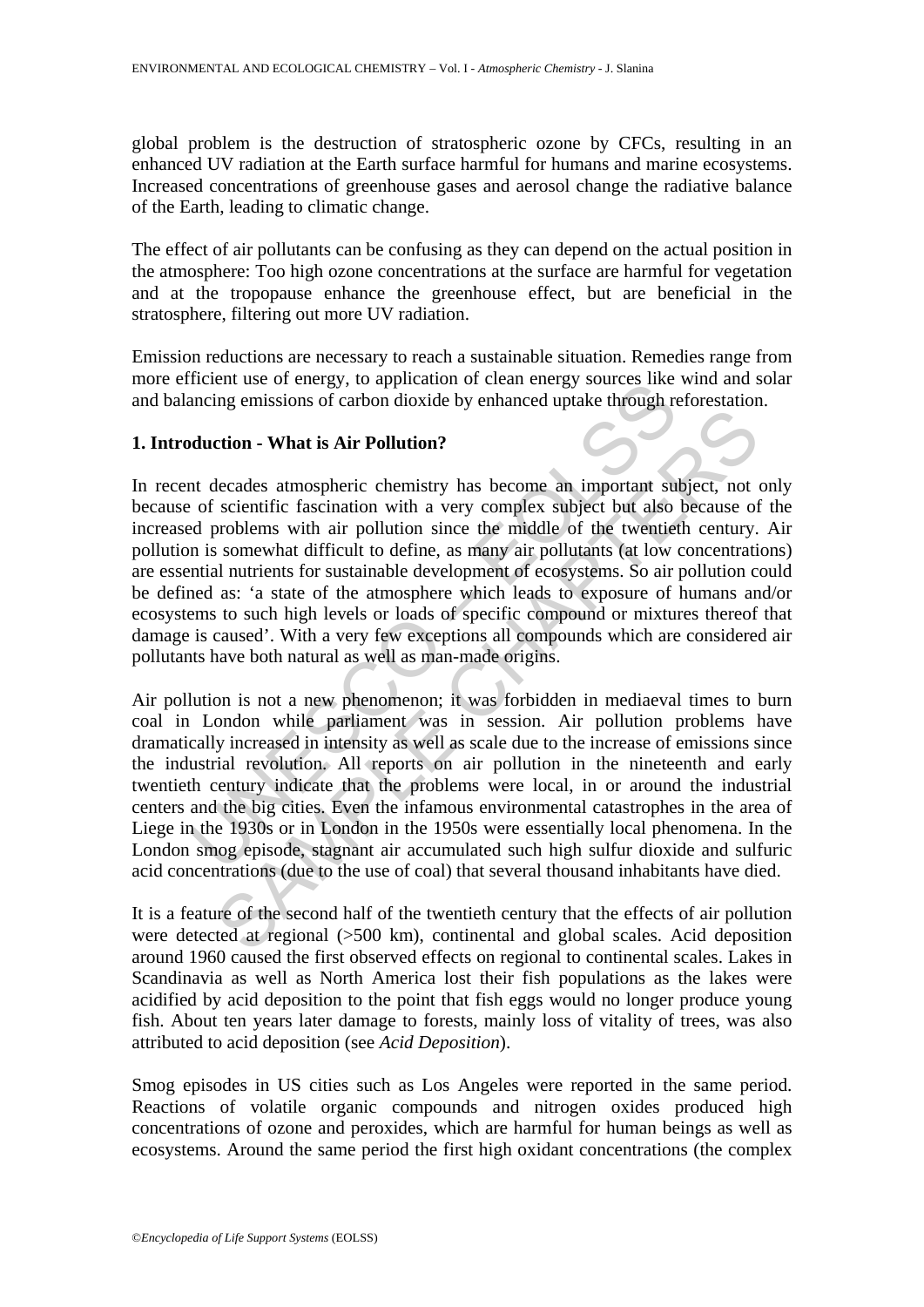global problem is the destruction of stratospheric ozone by CFCs, resulting in an enhanced UV radiation at the Earth surface harmful for humans and marine ecosystems. Increased concentrations of greenhouse gases and aerosol change the radiative balance of the Earth, leading to climatic change.

The effect of air pollutants can be confusing as they can depend on the actual position in the atmosphere: Too high ozone concentrations at the surface are harmful for vegetation and at the tropopause enhance the greenhouse effect, but are beneficial in the stratosphere, filtering out more UV radiation.

Emission reductions are necessary to reach a sustainable situation. Remedies range from more efficient use of energy, to application of clean energy sources like wind and solar and balancing emissions of carbon dioxide by enhanced uptake through reforestation.

## **1. Introduction - What is Air Pollution?**

Internal we of energy, to application of clean energy solutes like<br>ancing emissions of carbon dioxide by enhanced uptake through re<br>duction - What is Air Pollution?<br>to decades atmospheric chemistry has become an important The **Example 2** and the state of the state of the state of the state of the state of the state of the state of the state of the solecal and turients for sustainable development of cosystems. So air pollution cas: 'a state In recent decades atmospheric chemistry has become an important subject, not only because of scientific fascination with a very complex subject but also because of the increased problems with air pollution since the middle of the twentieth century. Air pollution is somewhat difficult to define, as many air pollutants (at low concentrations) are essential nutrients for sustainable development of ecosystems. So air pollution could be defined as: 'a state of the atmosphere which leads to exposure of humans and/or ecosystems to such high levels or loads of specific compound or mixtures thereof that damage is caused'. With a very few exceptions all compounds which are considered air pollutants have both natural as well as man-made origins.

Air pollution is not a new phenomenon; it was forbidden in mediaeval times to burn coal in London while parliament was in session. Air pollution problems have dramatically increased in intensity as well as scale due to the increase of emissions since the industrial revolution. All reports on air pollution in the nineteenth and early twentieth century indicate that the problems were local, in or around the industrial centers and the big cities. Even the infamous environmental catastrophes in the area of Liege in the 1930s or in London in the 1950s were essentially local phenomena. In the London smog episode, stagnant air accumulated such high sulfur dioxide and sulfuric acid concentrations (due to the use of coal) that several thousand inhabitants have died.

It is a feature of the second half of the twentieth century that the effects of air pollution were detected at regional (>500 km), continental and global scales. Acid deposition around 1960 caused the first observed effects on regional to continental scales. Lakes in Scandinavia as well as North America lost their fish populations as the lakes were acidified by acid deposition to the point that fish eggs would no longer produce young fish. About ten years later damage to forests, mainly loss of vitality of trees, was also attributed to acid deposition (see *Acid Deposition*).

Smog episodes in US cities such as Los Angeles were reported in the same period. Reactions of volatile organic compounds and nitrogen oxides produced high concentrations of ozone and peroxides, which are harmful for human beings as well as ecosystems. Around the same period the first high oxidant concentrations (the complex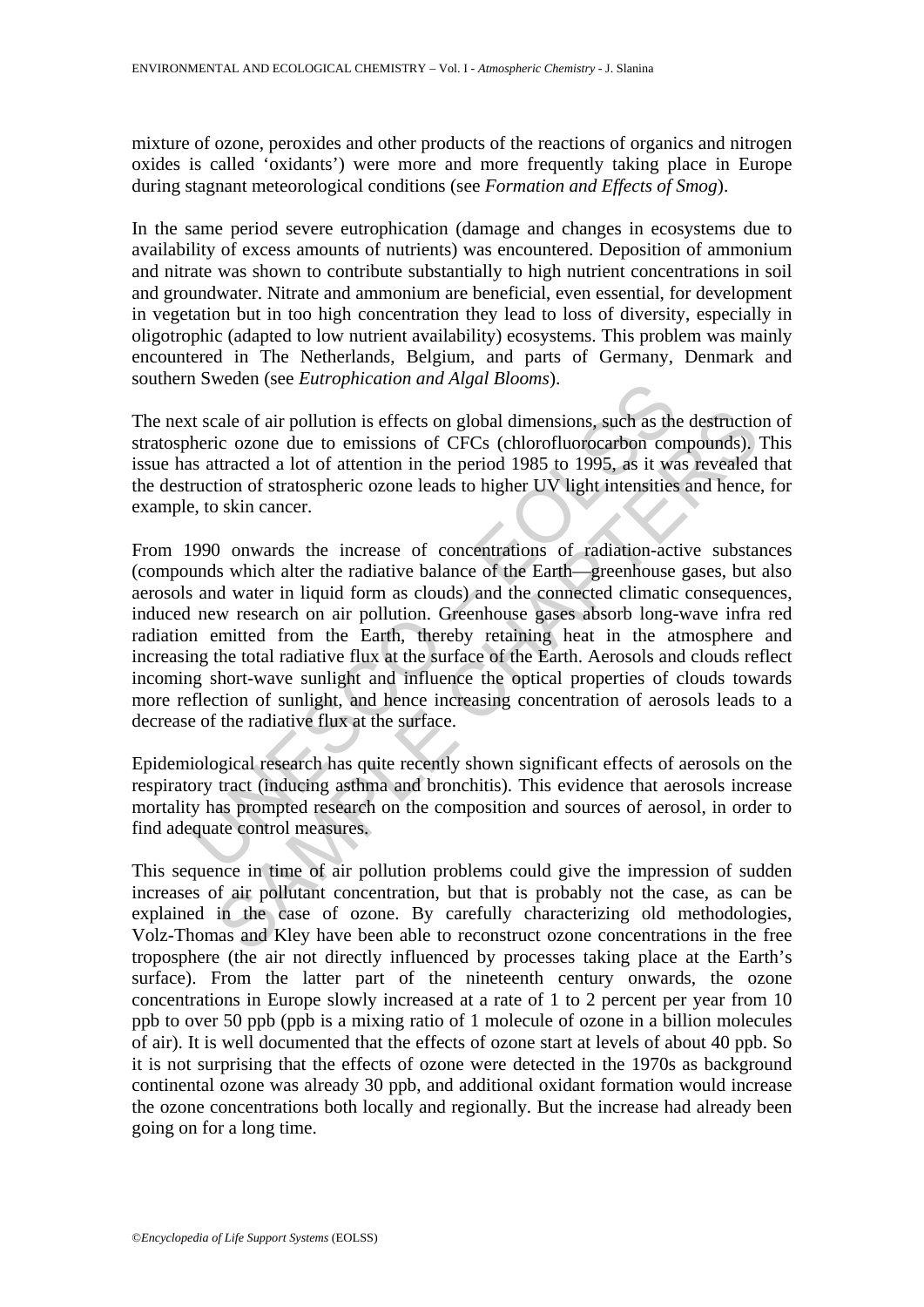mixture of ozone, peroxides and other products of the reactions of organics and nitrogen oxides is called 'oxidants') were more and more frequently taking place in Europe during stagnant meteorological conditions (see *Formation and Effects of Smog*).

In the same period severe eutrophication (damage and changes in ecosystems due to availability of excess amounts of nutrients) was encountered. Deposition of ammonium and nitrate was shown to contribute substantially to high nutrient concentrations in soil and groundwater. Nitrate and ammonium are beneficial, even essential, for development in vegetation but in too high concentration they lead to loss of diversity, especially in oligotrophic (adapted to low nutrient availability) ecosystems. This problem was mainly encountered in The Netherlands, Belgium, and parts of Germany, Denmark and southern Sweden (see *Eutrophication and Algal Blooms*).

The next scale of air pollution is effects on global dimensions, such as the destruction of stratospheric ozone due to emissions of CFCs (chlorofluorocarbon compounds). This issue has attracted a lot of attention in the period 1985 to 1995, as it was revealed that the destruction of stratospheric ozone leads to higher UV light intensities and hence, for example, to skin cancer.

If solved the California and Algumeters and Solved and Solved Theorem and Solved and Solved and Net and Net alifore correlation of statistical a lot of attention in the period 1985 to 1995, as it was ruction of stratospher cale of air pollution is effects on global dimensions, such as the destruction<br>ic ozone due to emissions of CFCs (chlorofluorocarbon compounds).<br>Ittracted a lot of attention in the period 1985 to 1995, as it was revealed<br>t From 1990 onwards the increase of concentrations of radiation-active substances (compounds which alter the radiative balance of the Earth—greenhouse gases, but also aerosols and water in liquid form as clouds) and the connected climatic consequences, induced new research on air pollution. Greenhouse gases absorb long-wave infra red radiation emitted from the Earth, thereby retaining heat in the atmosphere and increasing the total radiative flux at the surface of the Earth. Aerosols and clouds reflect incoming short-wave sunlight and influence the optical properties of clouds towards more reflection of sunlight, and hence increasing concentration of aerosols leads to a decrease of the radiative flux at the surface.

Epidemiological research has quite recently shown significant effects of aerosols on the respiratory tract (inducing asthma and bronchitis). This evidence that aerosols increase mortality has prompted research on the composition and sources of aerosol, in order to find adequate control measures.

This sequence in time of air pollution problems could give the impression of sudden increases of air pollutant concentration, but that is probably not the case, as can be explained in the case of ozone. By carefully characterizing old methodologies, Volz-Thomas and Kley have been able to reconstruct ozone concentrations in the free troposphere (the air not directly influenced by processes taking place at the Earth's surface). From the latter part of the nineteenth century onwards, the ozone concentrations in Europe slowly increased at a rate of 1 to 2 percent per year from 10 ppb to over 50 ppb (ppb is a mixing ratio of 1 molecule of ozone in a billion molecules of air). It is well documented that the effects of ozone start at levels of about 40 ppb. So it is not surprising that the effects of ozone were detected in the 1970s as background continental ozone was already 30 ppb, and additional oxidant formation would increase the ozone concentrations both locally and regionally. But the increase had already been going on for a long time.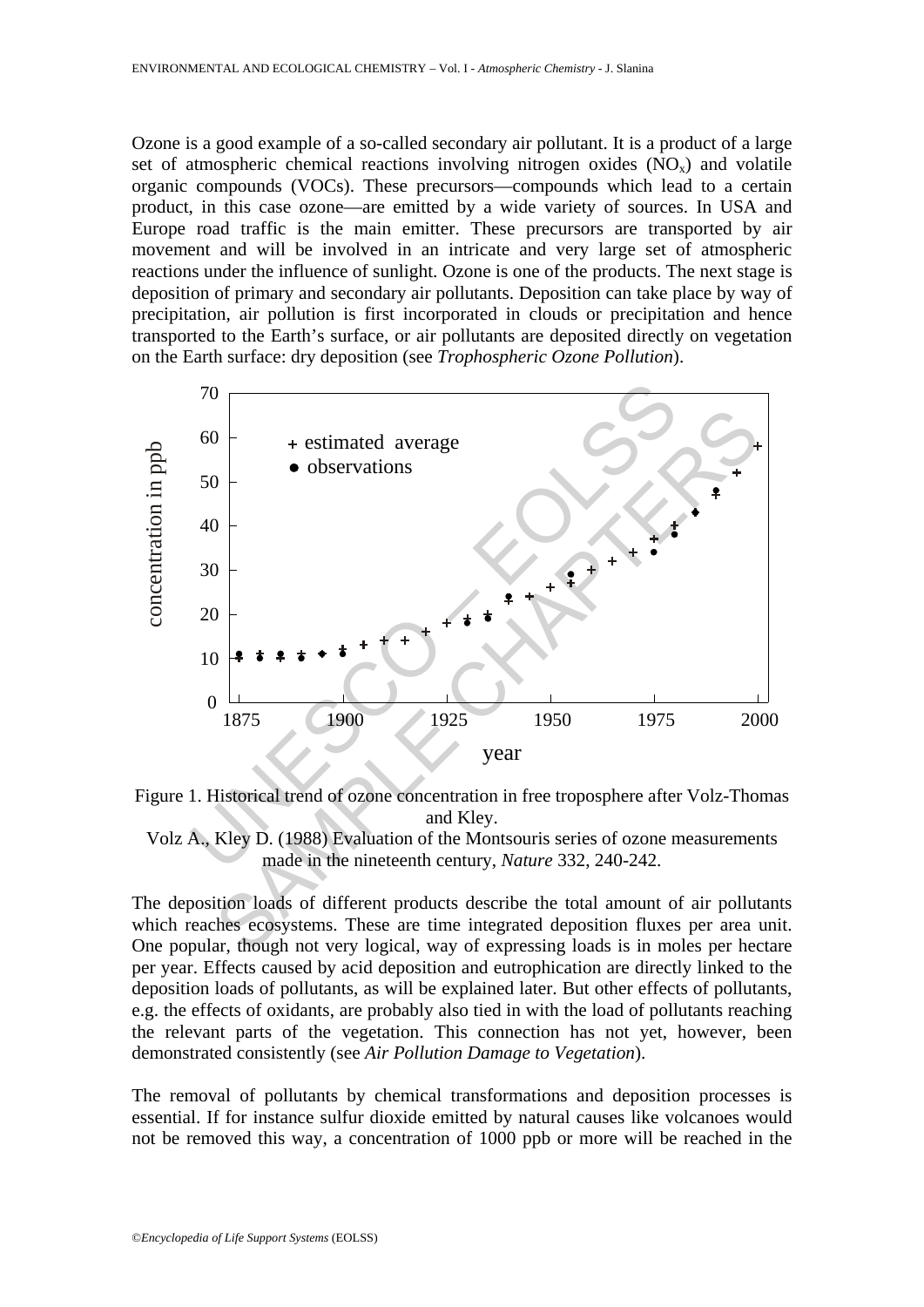Ozone is a good example of a so-called secondary air pollutant. It is a product of a large set of atmospheric chemical reactions involving nitrogen oxides  $(NO<sub>x</sub>)$  and volatile organic compounds (VOCs). These precursors—compounds which lead to a certain product, in this case ozone—are emitted by a wide variety of sources. In USA and Europe road traffic is the main emitter. These precursors are transported by air movement and will be involved in an intricate and very large set of atmospheric reactions under the influence of sunlight. Ozone is one of the products. The next stage is deposition of primary and secondary air pollutants. Deposition can take place by way of precipitation, air pollution is first incorporated in clouds or precipitation and hence transported to the Earth's surface, or air pollutants are deposited directly on vegetation on the Earth surface: dry deposition (see *Trophospheric Ozone Pollution*).







The deposition loads of different products describe the total amount of air pollutants which reaches ecosystems. These are time integrated deposition fluxes per area unit. One popular, though not very logical, way of expressing loads is in moles per hectare per year. Effects caused by acid deposition and eutrophication are directly linked to the deposition loads of pollutants, as will be explained later. But other effects of pollutants, e.g. the effects of oxidants, are probably also tied in with the load of pollutants reaching the relevant parts of the vegetation. This connection has not yet, however, been demonstrated consistently (see *Air Pollution Damage to Vegetation*).

The removal of pollutants by chemical transformations and deposition processes is essential. If for instance sulfur dioxide emitted by natural causes like volcanoes would not be removed this way, a concentration of 1000 ppb or more will be reached in the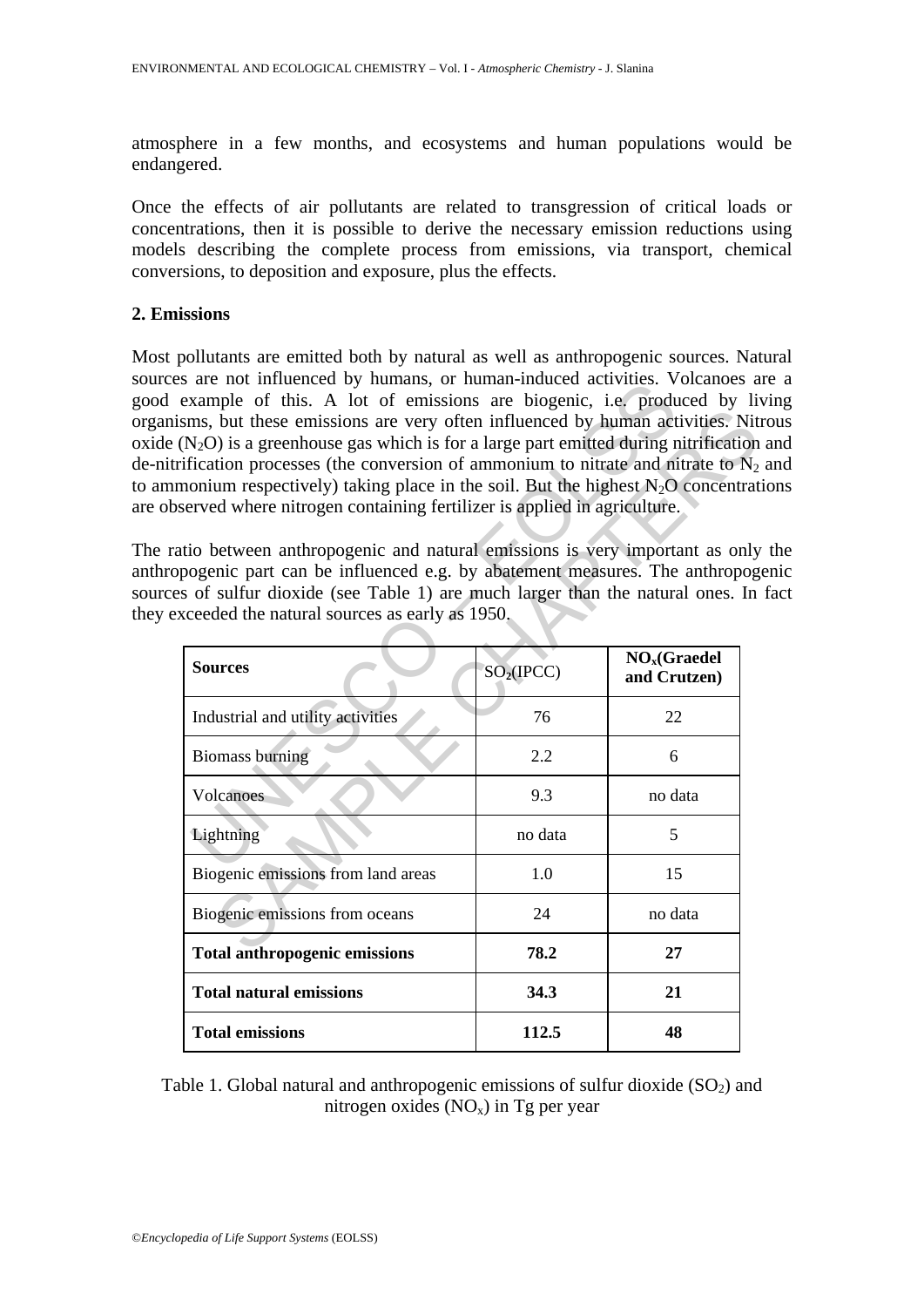atmosphere in a few months, and ecosystems and human populations would be endangered.

Once the effects of air pollutants are related to transgression of critical loads or concentrations, then it is possible to derive the necessary emission reductions using models describing the complete process from emissions, via transport, chemical conversions, to deposition and exposure, plus the effects.

## **2. Emissions**

Most pollutants are emitted both by natural as well as anthropogenic sources. Natural sources are not influenced by humans, or human-induced activities. Volcanoes are a good example of this. A lot of emissions are biogenic, i.e. produced by living organisms, but these emissions are very often influenced by human activities. Nitrous oxide  $(N_2O)$  is a greenhouse gas which is for a large part emitted during nitrification and de-nitrification processes (the conversion of ammonium to nitrate and nitrate to  $N_2$  and to ammonium respectively) taking place in the soil. But the highest  $N_2O$  concentrations are observed where nitrogen containing fertilizer is applied in agriculture.

The ratio between anthropogenic and natural emissions is very important as only the anthropogenic part can be influenced e.g. by abatement measures. The anthropogenic sources of sulfur dioxide (see Table 1) are much larger than the natural ones. In fact they exceeded the natural sources as early as 1950.

| $\overline{s}$ are not immediced by numalis, or numal-induced activities. Volcanoes a<br>example of this. A lot of emissions are biogenic, i.e. produced by li      |                        |                           |
|---------------------------------------------------------------------------------------------------------------------------------------------------------------------|------------------------|---------------------------|
| sms, but these emissions are very often influenced by human activities. Nit                                                                                         |                        |                           |
| $(N_2O)$ is a greenhouse gas which is for a large part emitted during nitrification                                                                                 |                        |                           |
| ification processes (the conversion of ammonium to nitrate and nitrate to $N_2$<br>nonium respectively) taking place in the soil. But the highest $N_2O$ concentrat |                        |                           |
| served where nitrogen containing fertilizer is applied in agriculture.                                                                                              |                        |                           |
|                                                                                                                                                                     |                        |                           |
| tio between anthropogenic and natural emissions is very important as only                                                                                           |                        |                           |
| pogenic part can be influenced e.g. by abatement measures. The anthropog                                                                                            |                        |                           |
| s of sulfur dioxide (see Table 1) are much larger than the natural ones. In                                                                                         |                        |                           |
| ceeded the natural sources as early as 1950.                                                                                                                        |                        |                           |
|                                                                                                                                                                     |                        | NO <sub>x</sub> (Graedel) |
| <b>Sources</b>                                                                                                                                                      | SO <sub>2</sub> (IPCC) | and Crutzen)              |
| Industrial and utility activities                                                                                                                                   | 76                     | 22                        |
| <b>Biomass burning</b>                                                                                                                                              | 2.2                    | 6                         |
| Volcanoes                                                                                                                                                           | 9.3                    | no data                   |
| Lightning                                                                                                                                                           | no data                | 5                         |
| Biogenic emissions from land areas                                                                                                                                  | 1.0                    | 15                        |
| Biogenic emissions from oceans                                                                                                                                      | 24                     | no data                   |
| <b>Total anthropogenic emissions</b>                                                                                                                                | 78.2                   | 27                        |
| <b>Total natural emissions</b>                                                                                                                                      | 34.3                   | 21                        |
| <b>Total emissions</b>                                                                                                                                              | 112.5                  | 48                        |

Table 1. Global natural and anthropogenic emissions of sulfur dioxide  $(SO<sub>2</sub>)$  and nitrogen oxides  $(NO_x)$  in Tg per year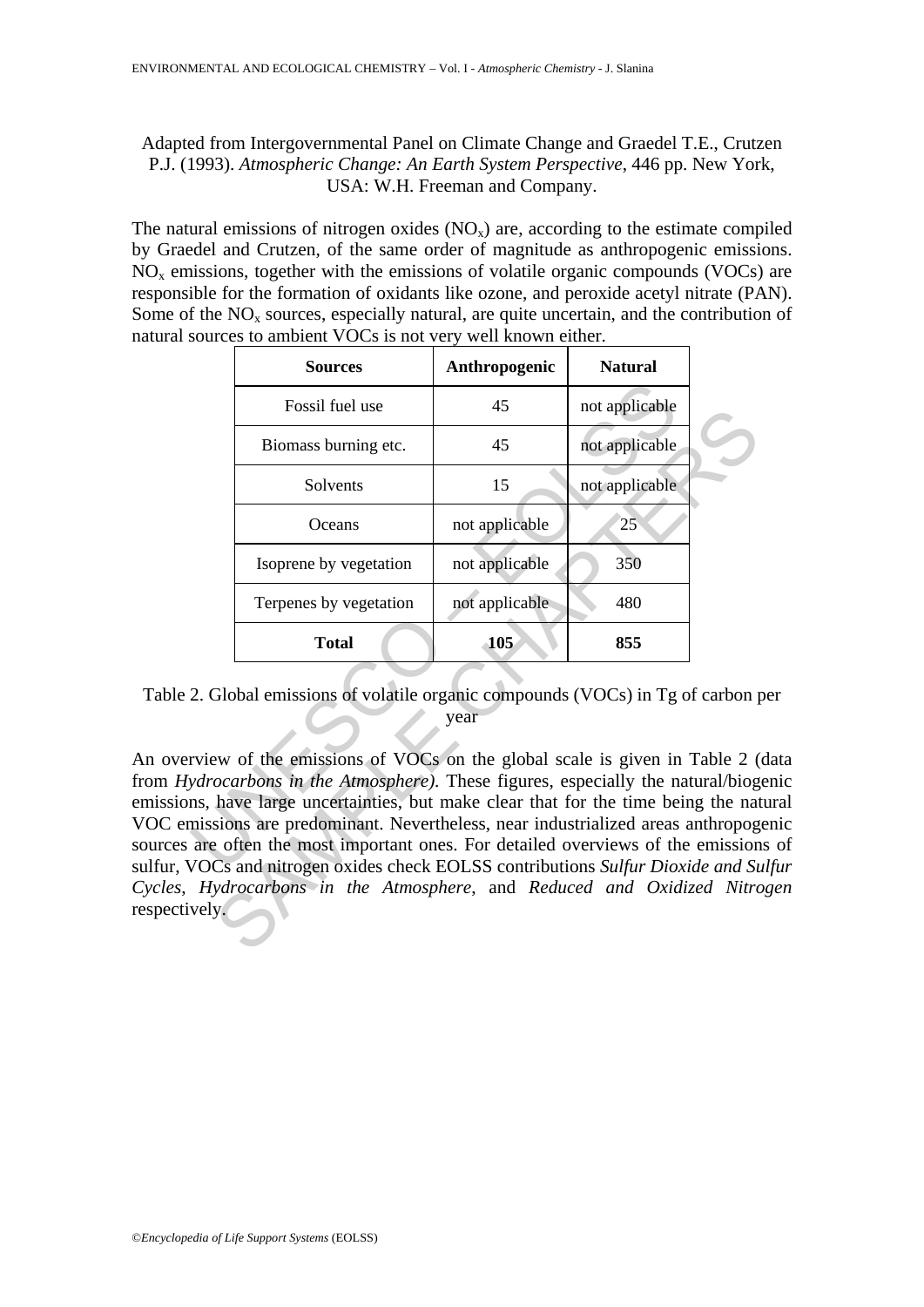# Adapted from Intergovernmental Panel on Climate Change and Graedel T.E., Crutzen P.J. (1993). *Atmospheric Change: An Earth System Perspective*, 446 pp. New York, USA: W.H. Freeman and Company.

The natural emissions of nitrogen oxides  $(NO<sub>x</sub>)$  are, according to the estimate compiled by Graedel and Crutzen, of the same order of magnitude as anthropogenic emissions.  $NO<sub>x</sub>$  emissions, together with the emissions of volatile organic compounds (VOCs) are responsible for the formation of oxidants like ozone, and peroxide acetyl nitrate (PAN). Some of the  $NO<sub>x</sub>$  sources, especially natural, are quite uncertain, and the contribution of natural sources to ambient VOCs is not very well known either.

|       | <b>Sources</b>                                                                                                                                                                                                                                                                                                                                                                                                                                                                                                                                                                                                                          | Anthropogenic  | <b>Natural</b> |  |
|-------|-----------------------------------------------------------------------------------------------------------------------------------------------------------------------------------------------------------------------------------------------------------------------------------------------------------------------------------------------------------------------------------------------------------------------------------------------------------------------------------------------------------------------------------------------------------------------------------------------------------------------------------------|----------------|----------------|--|
|       | Fossil fuel use                                                                                                                                                                                                                                                                                                                                                                                                                                                                                                                                                                                                                         | 45             | not applicable |  |
|       | Biomass burning etc.                                                                                                                                                                                                                                                                                                                                                                                                                                                                                                                                                                                                                    | 45             | not applicable |  |
|       | Solvents                                                                                                                                                                                                                                                                                                                                                                                                                                                                                                                                                                                                                                | 15             | not applicable |  |
|       | Oceans                                                                                                                                                                                                                                                                                                                                                                                                                                                                                                                                                                                                                                  | not applicable | 25             |  |
|       | Isoprene by vegetation                                                                                                                                                                                                                                                                                                                                                                                                                                                                                                                                                                                                                  | not applicable | 350            |  |
|       | Terpenes by vegetation                                                                                                                                                                                                                                                                                                                                                                                                                                                                                                                                                                                                                  | not applicable | 480            |  |
|       | <b>Total</b>                                                                                                                                                                                                                                                                                                                                                                                                                                                                                                                                                                                                                            | <b>105</b>     | 855            |  |
| vely. | 2. Global emissions of volatile organic compounds (VOCs) in Tg of carbon p<br>rview of the emissions of VOCs on the global scale is given in Table 2 (<br><i>ydrocarbons in the Atmosphere</i> ). These figures, especially the natural/biog<br>ins, have large uncertainties, but make clear that for the time being the nat<br>missions are predominant. Nevertheless, near industrialized areas anthropog<br>are often the most important ones. For detailed overviews of the emission<br>VOCs and nitrogen oxides check EOLSS contributions Sulfur Dioxide and Su<br>Hydrocarbons in the Atmosphere, and Reduced and Oxidized Nitro | year           |                |  |

Table 2. Global emissions of volatile organic compounds (VOCs) in Tg of carbon per year

An overview of the emissions of VOCs on the global scale is given in Table 2 (data from *Hydrocarbons in the Atmosphere)*. These figures, especially the natural/biogenic emissions, have large uncertainties, but make clear that for the time being the natural VOC emissions are predominant. Nevertheless, near industrialized areas anthropogenic sources are often the most important ones. For detailed overviews of the emissions of sulfur, VOCs and nitrogen oxides check EOLSS contributions *Sulfur Dioxide and Sulfur Cycles*, *Hydrocarbons in the Atmosphere*, and *Reduced and Oxidized Nitrogen* respectively.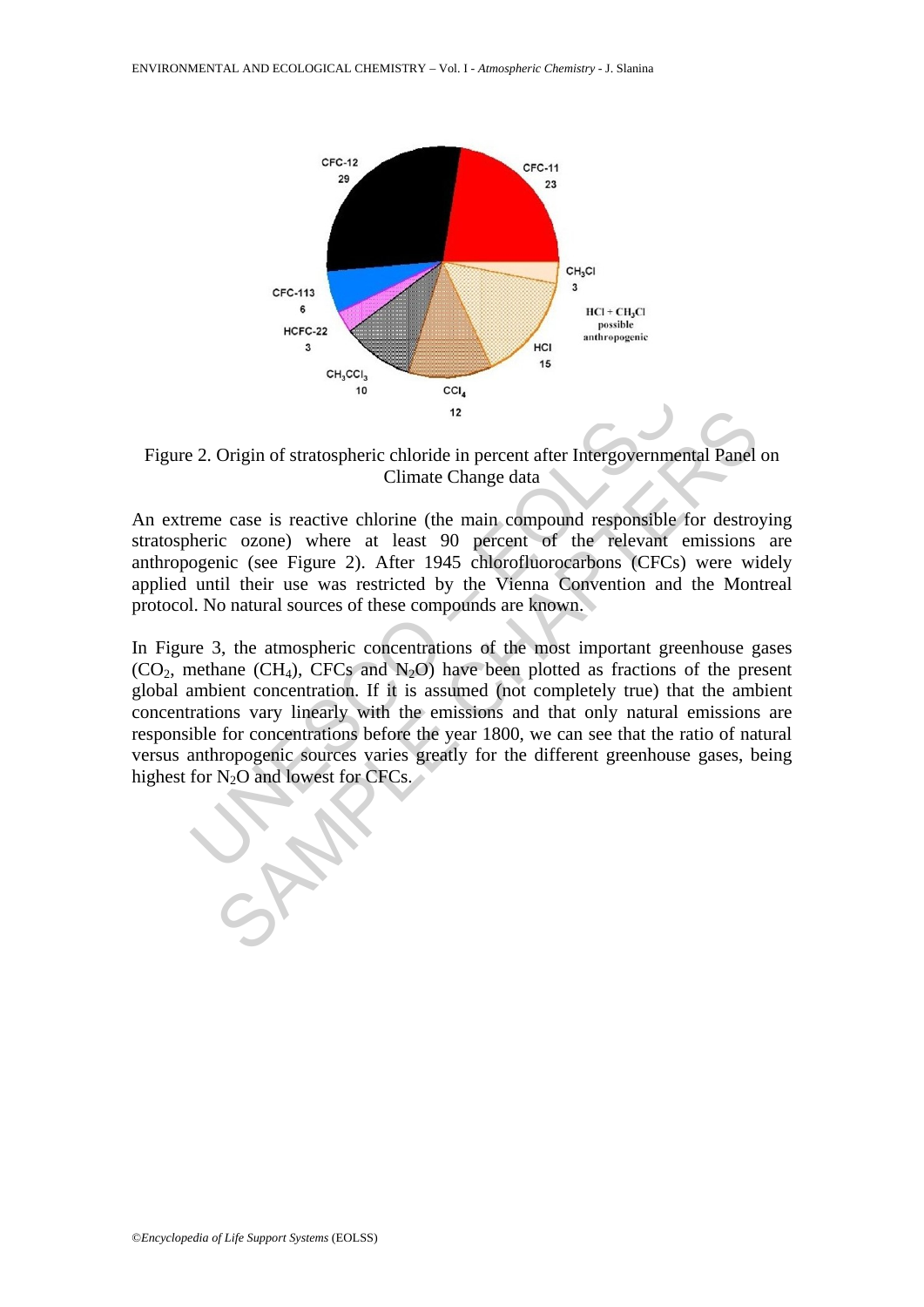

Figure 2. Origin of stratospheric chloride in percent after Intergovernmental Panel on Climate Change data

An extreme case is reactive chlorine (the main compound responsible for destroying stratospheric ozone) where at least 90 percent of the relevant emissions are anthropogenic (see Figure 2). After 1945 chlorofluorocarbons (CFCs) were widely applied until their use was restricted by the Vienna Convention and the Montreal protocol. No natural sources of these compounds are known.

2. Origin of stratospheric chloride in percent after Intergovernme<br>
Climate Change data<br>
eme case is reactive chlorine (the main compound responsible<br>
heric ozone) where at least 90 percent of the relevant<br>
ogenic (see Fi <sup>12</sup><br>Origin of stratospheric chloride in percent after Intergovernmental Panel<br>Climate Change data<br>e case is reactive chlorine (the main compound responsible for destro<br>ic ozone) where at least 90 percent of the relevant In Figure 3, the atmospheric concentrations of the most important greenhouse gases  $(CO_2,$  methane  $(CH_4)$ , CFCs and N<sub>2</sub>O) have been plotted as fractions of the present global ambient concentration. If it is assumed (not completely true) that the ambient concentrations vary linearly with the emissions and that only natural emissions are responsible for concentrations before the year 1800, we can see that the ratio of natural versus anthropogenic sources varies greatly for the different greenhouse gases, being highest for  $N_2O$  and lowest for CFCs.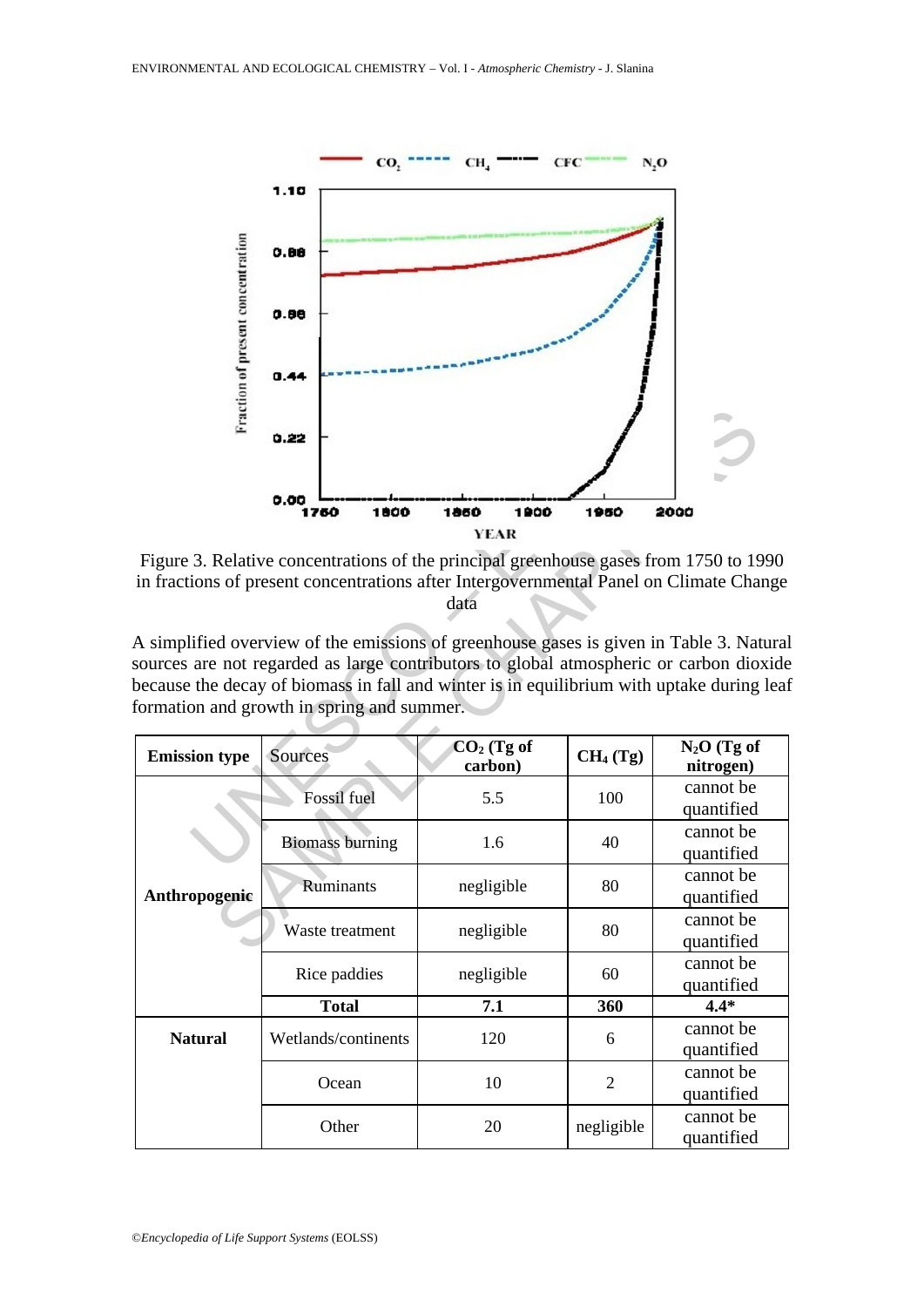

Figure 3. Relative concentrations of the principal greenhouse gases from 1750 to 1990 in fractions of present concentrations after Intergovernmental Panel on Climate Change data

| Frac                 | 0.22                                                                                                                                                                                                                                                                                                                       |                             |                      |                            |
|----------------------|----------------------------------------------------------------------------------------------------------------------------------------------------------------------------------------------------------------------------------------------------------------------------------------------------------------------------|-----------------------------|----------------------|----------------------------|
|                      | 0.00<br>1760<br>1800                                                                                                                                                                                                                                                                                                       | 1860<br>1900<br><b>YEAR</b> | 1950                 | 2000                       |
|                      | Figure 3. Relative concentrations of the principal greenhouse gases from 1750 to 1990<br>in fractions of present concentrations after Intergovernmental Panel on Climate Change                                                                                                                                            | data                        |                      |                            |
|                      | A simplified overview of the emissions of greenhouse gases is given in Table 3. Natura<br>sources are not regarded as large contributors to global atmospheric or carbon dioxide<br>because the decay of biomass in fall and winter is in equilibrium with uptake during lea<br>formation and growth in spring and summer. |                             |                      |                            |
| <b>Emission type</b> | Sources                                                                                                                                                                                                                                                                                                                    | $CO2$ (Tg of<br>carbon)     | CH <sub>4</sub> (Tg) | $N_2O$ (Tg of<br>nitrogen) |
| Anthropogenic        | Fossil fuel                                                                                                                                                                                                                                                                                                                | 5.5                         | 100                  | cannot be<br>quantified    |
|                      | <b>Biomass burning</b>                                                                                                                                                                                                                                                                                                     | 1.6                         | 40                   | cannot be<br>quantified    |
|                      | Ruminants                                                                                                                                                                                                                                                                                                                  | negligible                  | 80                   | cannot be<br>quantified    |
|                      | Waste treatment                                                                                                                                                                                                                                                                                                            | negligible                  | 80                   | cannot be<br>quantified    |
|                      | Rice paddies                                                                                                                                                                                                                                                                                                               | negligible                  | 60                   | cannot be<br>quantified    |
|                      | <b>Total</b>                                                                                                                                                                                                                                                                                                               | 7.1                         | 360                  | $4.4*$                     |
| <b>Natural</b>       | Wetlands/continents                                                                                                                                                                                                                                                                                                        | 120                         | 6                    | cannot be<br>quantified    |
|                      | Ocean                                                                                                                                                                                                                                                                                                                      | 10                          | $\overline{2}$       | cannot be<br>quantified    |
|                      | Other                                                                                                                                                                                                                                                                                                                      | 20                          | negligible           | cannot be<br>quantified    |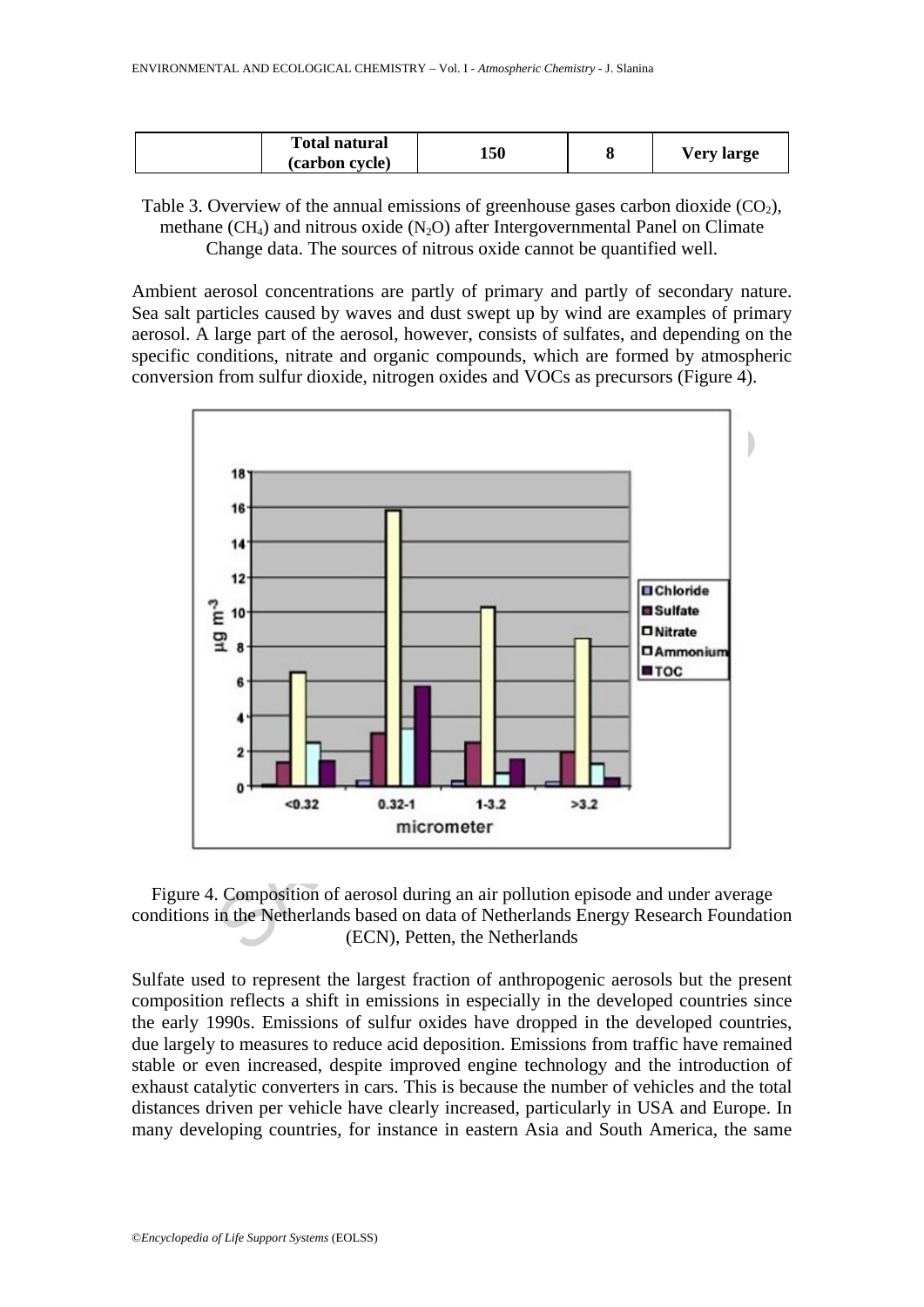| <b>Total natural</b> | 150 |            |
|----------------------|-----|------------|
| (carbon cycle)       |     | Very large |

Table 3. Overview of the annual emissions of greenhouse gases carbon dioxide  $(CO<sub>2</sub>)$ , methane (CH<sub>4</sub>) and nitrous oxide (N<sub>2</sub>O) after Intergovernmental Panel on Climate Change data. The sources of nitrous oxide cannot be quantified well.

Ambient aerosol concentrations are partly of primary and partly of secondary nature. Sea salt particles caused by waves and dust swept up by wind are examples of primary aerosol. A large part of the aerosol, however, consists of sulfates, and depending on the specific conditions, nitrate and organic compounds, which are formed by atmospheric conversion from sulfur dioxide, nitrogen oxides and VOCs as precursors (Figure 4).



Figure 4. Composition of aerosol during an air pollution episode and under average conditions in the Netherlands based on data of Netherlands Energy Research Foundation (ECN), Petten, the Netherlands

Sulfate used to represent the largest fraction of anthropogenic aerosols but the present composition reflects a shift in emissions in especially in the developed countries since the early 1990s. Emissions of sulfur oxides have dropped in the developed countries, due largely to measures to reduce acid deposition. Emissions from traffic have remained stable or even increased, despite improved engine technology and the introduction of exhaust catalytic converters in cars. This is because the number of vehicles and the total distances driven per vehicle have clearly increased, particularly in USA and Europe. In many developing countries, for instance in eastern Asia and South America, the same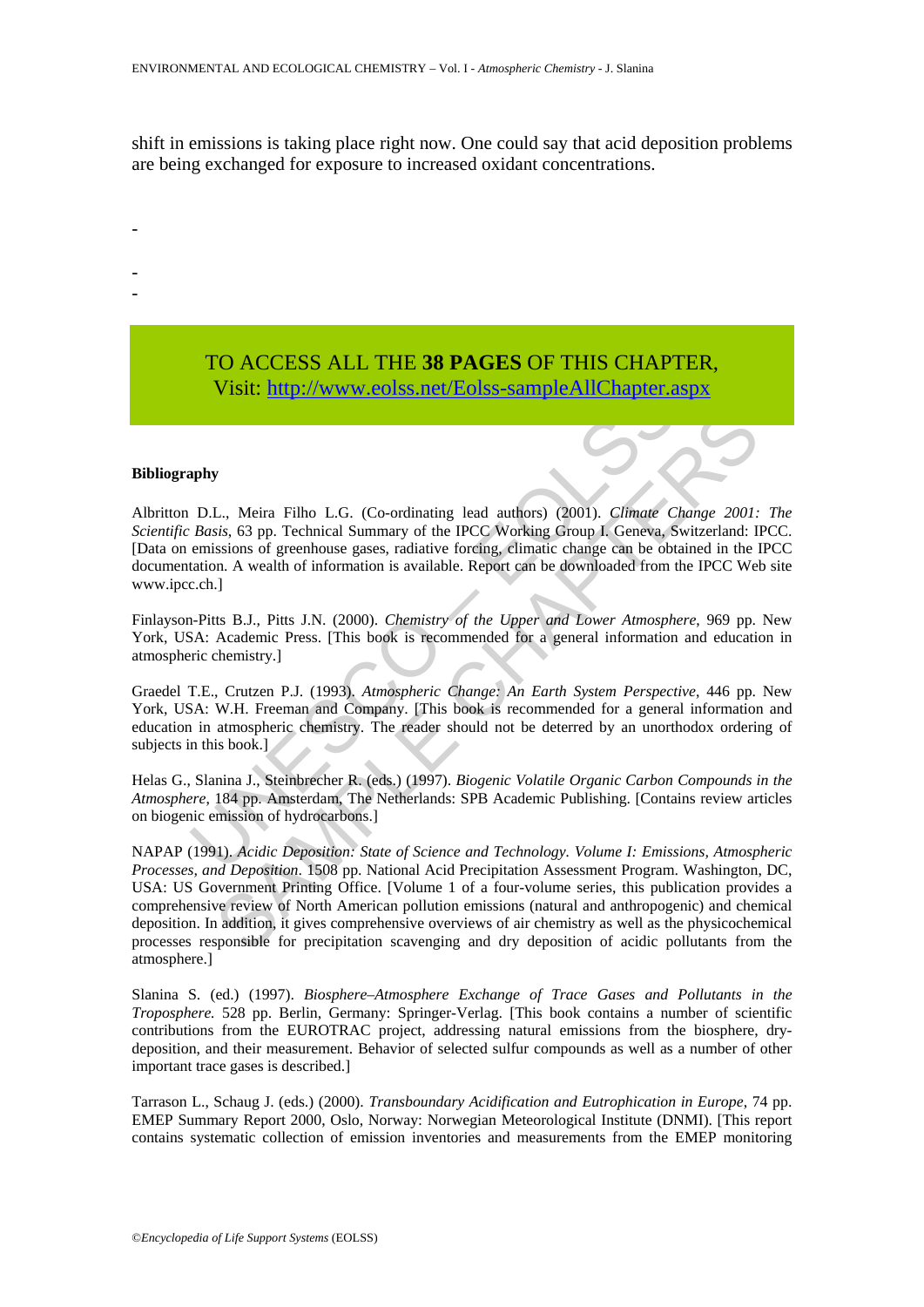shift in emissions is taking place right now. One could say that acid deposition problems are being exchanged for exposure to increased oxidant concentrations.

# TO ACCESS ALL THE **38 PAGES** OF THIS CHAPTER, Visi[t: http://www.eolss.net/Eolss-sampleAllChapter.aspx](https://www.eolss.net/ebooklib/sc_cart.aspx?File=E6-13-02-00)

#### **Bibliography**

-

- -

Visit: http://www.eolss.net/Eolss-sampleAllChapter.a<br>
phy<br>
D.L., Meira Filho L.G. (Co-ordinating lead authors) (2001). *Climate C.*<br> *Basis*, 63 pp. Technical Summary of the IPCC Working Group I. Geneva, 8<br>
emissions of gr Albritton D.L., Meira Filho L.G. (Co-ordinating lead authors) (2001). *Climate Change 2001: The Scientific Basis*, 63 pp. Technical Summary of the IPCC Working Group I. Geneva, Switzerland: IPCC. [Data on emissions of greenhouse gases, radiative forcing, climatic change can be obtained in the IPCC documentation. A wealth of information is available. Report can be downloaded from the IPCC Web site www.ipcc.ch.]

Finlayson-Pitts B.J., Pitts J.N. (2000). *Chemistry of the Upper and Lower Atmosphere*, 969 pp. New York, USA: Academic Press. [This book is recommended for a general information and education in atmospheric chemistry.]

Graedel T.E., Crutzen P.J. (1993). *Atmospheric Change: An Earth System Perspective*, 446 pp. New York, USA: W.H. Freeman and Company. [This book is recommended for a general information and education in atmospheric chemistry. The reader should not be deterred by an unorthodox ordering of subjects in this book.]

Helas G., Slanina J., Steinbrecher R. (eds.) (1997). *Biogenic Volatile Organic Carbon Compounds in the Atmosphere*, 184 pp. Amsterdam, The Netherlands: SPB Academic Publishing. [Contains review articles on biogenic emission of hydrocarbons.]

*I.*, Meira Filho L.G. (Co-ordinating lead authors) (2001). *Climate Change 2001*;<br> *Sis*, 63 pp. Technical Summary of the IPCC Working Group I. Geneva, Switzerland: II<br>
sisms of greenhouse gases, radiative foreing, elimat NAPAP (1991). *Acidic Deposition: State of Science and Technology. Volume I: Emissions, Atmospheric Processes, and Deposition*. 1508 pp. National Acid Precipitation Assessment Program. Washington, DC, USA: US Government Printing Office. [Volume 1 of a four-volume series, this publication provides a comprehensive review of North American pollution emissions (natural and anthropogenic) and chemical deposition. In addition, it gives comprehensive overviews of air chemistry as well as the physicochemical processes responsible for precipitation scavenging and dry deposition of acidic pollutants from the atmosphere.]

Slanina S. (ed.) (1997). *Biosphere–Atmosphere Exchange of Trace Gases and Pollutants in the Troposphere.* 528 pp. Berlin, Germany: Springer-Verlag. [This book contains a number of scientific contributions from the EUROTRAC project, addressing natural emissions from the biosphere, drydeposition, and their measurement. Behavior of selected sulfur compounds as well as a number of other important trace gases is described.]

Tarrason L., Schaug J. (eds.) (2000). *Transboundary Acidification and Eutrophication in Europe*, 74 pp. EMEP Summary Report 2000, Oslo, Norway: Norwegian Meteorological Institute (DNMI). [This report contains systematic collection of emission inventories and measurements from the EMEP monitoring